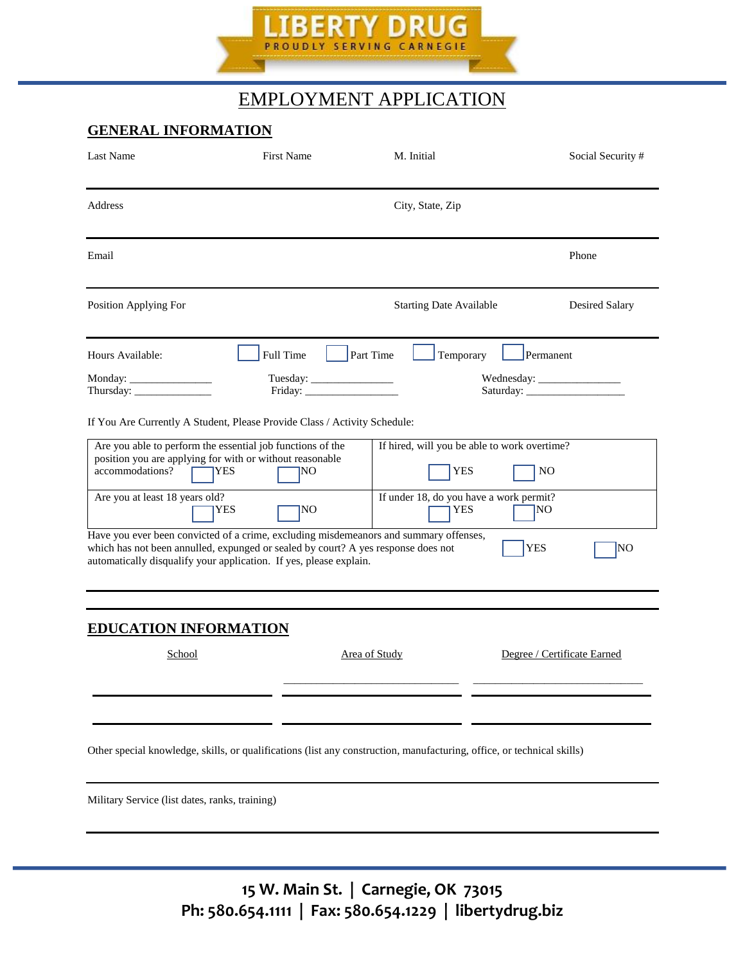

# EMPLOYMENT APPLICATION

# **GENERAL INFORMATION**

| Last Name                                         | <b>First Name</b>                                                                                                                                                                                                                                                                                                                                                                                                                                                                                 | M. Initial                                                                                                             | Social Security #                        |  |
|---------------------------------------------------|---------------------------------------------------------------------------------------------------------------------------------------------------------------------------------------------------------------------------------------------------------------------------------------------------------------------------------------------------------------------------------------------------------------------------------------------------------------------------------------------------|------------------------------------------------------------------------------------------------------------------------|------------------------------------------|--|
| Address                                           | City, State, Zip                                                                                                                                                                                                                                                                                                                                                                                                                                                                                  |                                                                                                                        |                                          |  |
| Email                                             |                                                                                                                                                                                                                                                                                                                                                                                                                                                                                                   |                                                                                                                        | Phone                                    |  |
| Position Applying For                             |                                                                                                                                                                                                                                                                                                                                                                                                                                                                                                   | <b>Starting Date Available</b>                                                                                         | Desired Salary                           |  |
| Hours Available:                                  | Full Time<br>Tuesday: $\frac{1}{\sqrt{1-\frac{1}{2}}\cdot\frac{1}{2}}$<br>$\text{Friday:}\n\quadp{1}$                                                                                                                                                                                                                                                                                                                                                                                             | <b>Part Time</b><br>Temporary                                                                                          | Permanent                                |  |
| accommodations?<br>Are you at least 18 years old? | If You Are Currently A Student, Please Provide Class / Activity Schedule:<br>Are you able to perform the essential job functions of the<br>position you are applying for with or without reasonable<br><b>IYES</b><br>ΙNΟ<br>NO<br><b>YES</b><br>Have you ever been convicted of a crime, excluding misdemeanors and summary offenses,<br>which has not been annulled, expunged or sealed by court? A yes response does not<br>automatically disqualify your application. If yes, please explain. | If hired, will you be able to work overtime?<br><b>YES</b><br>If under 18, do you have a work permit?<br><b>YES</b>    | N <sub>O</sub><br>NΟ<br><b>YES</b><br>NO |  |
| <b>EDUCATION INFORMATION</b><br>School            |                                                                                                                                                                                                                                                                                                                                                                                                                                                                                                   | <b>Area of Study</b>                                                                                                   | Degree / Certificate Earned              |  |
|                                                   |                                                                                                                                                                                                                                                                                                                                                                                                                                                                                                   | Other special knowledge, skills, or qualifications (list any construction, manufacturing, office, or technical skills) |                                          |  |

Military Service (list dates, ranks, training)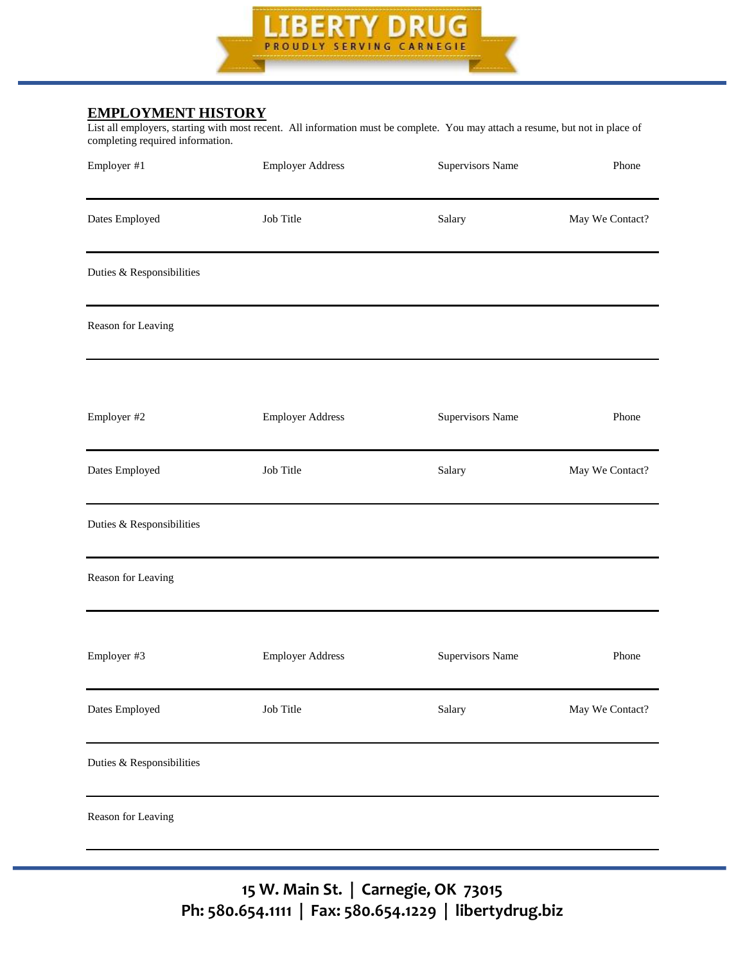

#### **EMPLOYMENT HISTORY**

List all employers, starting with most recent. All information must be complete. You may attach a resume, but not in place of completing required information.

| Employer #1                  | <b>Employer Address</b> | Supervisors Name | Phone           |
|------------------------------|-------------------------|------------------|-----------------|
| Dates Employed               | Job Title               | Salary           | May We Contact? |
| Duties & Responsibilities    |                         |                  |                 |
| Reason for Leaving           |                         |                  |                 |
| Employer #2                  | <b>Employer Address</b> | Supervisors Name | Phone           |
| Dates Employed               | Job Title               | Salary           | May We Contact? |
| Duties $\&$ Responsibilities |                         |                  |                 |
| Reason for Leaving           |                         |                  |                 |
| Employer #3                  | <b>Employer Address</b> | Supervisors Name | Phone           |
| Dates Employed               | Job Title               | Salary           | May We Contact? |
| Duties & Responsibilities    |                         |                  |                 |
| Reason for Leaving           |                         |                  |                 |